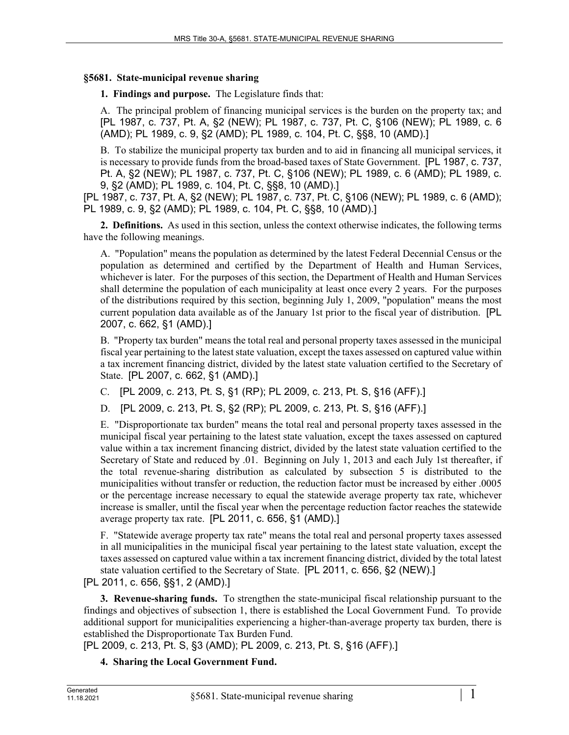## **§5681. State-municipal revenue sharing**

**1. Findings and purpose.** The Legislature finds that:

A. The principal problem of financing municipal services is the burden on the property tax; and [PL 1987, c. 737, Pt. A, §2 (NEW); PL 1987, c. 737, Pt. C, §106 (NEW); PL 1989, c. 6 (AMD); PL 1989, c. 9, §2 (AMD); PL 1989, c. 104, Pt. C, §§8, 10 (AMD).]

B. To stabilize the municipal property tax burden and to aid in financing all municipal services, it is necessary to provide funds from the broad-based taxes of State Government. [PL 1987, c. 737, Pt. A, §2 (NEW); PL 1987, c. 737, Pt. C, §106 (NEW); PL 1989, c. 6 (AMD); PL 1989, c. 9, §2 (AMD); PL 1989, c. 104, Pt. C, §§8, 10 (AMD).]

[PL 1987, c. 737, Pt. A, §2 (NEW); PL 1987, c. 737, Pt. C, §106 (NEW); PL 1989, c. 6 (AMD); PL 1989, c. 9, §2 (AMD); PL 1989, c. 104, Pt. C, §§8, 10 (AMD).]

**2. Definitions.** As used in this section, unless the context otherwise indicates, the following terms have the following meanings.

A. "Population" means the population as determined by the latest Federal Decennial Census or the population as determined and certified by the Department of Health and Human Services, whichever is later. For the purposes of this section, the Department of Health and Human Services shall determine the population of each municipality at least once every 2 years. For the purposes of the distributions required by this section, beginning July 1, 2009, "population" means the most current population data available as of the January 1st prior to the fiscal year of distribution. [PL 2007, c. 662, §1 (AMD).]

B. "Property tax burden" means the total real and personal property taxes assessed in the municipal fiscal year pertaining to the latest state valuation, except the taxes assessed on captured value within a tax increment financing district, divided by the latest state valuation certified to the Secretary of State. [PL 2007, c. 662, §1 (AMD).]

C. [PL 2009, c. 213, Pt. S, §1 (RP); PL 2009, c. 213, Pt. S, §16 (AFF).]

D. [PL 2009, c. 213, Pt. S, §2 (RP); PL 2009, c. 213, Pt. S, §16 (AFF).]

E. "Disproportionate tax burden" means the total real and personal property taxes assessed in the municipal fiscal year pertaining to the latest state valuation, except the taxes assessed on captured value within a tax increment financing district, divided by the latest state valuation certified to the Secretary of State and reduced by .01. Beginning on July 1, 2013 and each July 1st thereafter, if the total revenue-sharing distribution as calculated by subsection 5 is distributed to the municipalities without transfer or reduction, the reduction factor must be increased by either .0005 or the percentage increase necessary to equal the statewide average property tax rate, whichever increase is smaller, until the fiscal year when the percentage reduction factor reaches the statewide average property tax rate. [PL 2011, c. 656, §1 (AMD).]

F. "Statewide average property tax rate" means the total real and personal property taxes assessed in all municipalities in the municipal fiscal year pertaining to the latest state valuation, except the taxes assessed on captured value within a tax increment financing district, divided by the total latest state valuation certified to the Secretary of State. [PL 2011, c. 656, §2 (NEW).]

[PL 2011, c. 656, §§1, 2 (AMD).]

**3. Revenue-sharing funds.** To strengthen the state-municipal fiscal relationship pursuant to the findings and objectives of subsection 1, there is established the Local Government Fund. To provide additional support for municipalities experiencing a higher-than-average property tax burden, there is established the Disproportionate Tax Burden Fund.

[PL 2009, c. 213, Pt. S, §3 (AMD); PL 2009, c. 213, Pt. S, §16 (AFF).]

**4. Sharing the Local Government Fund.**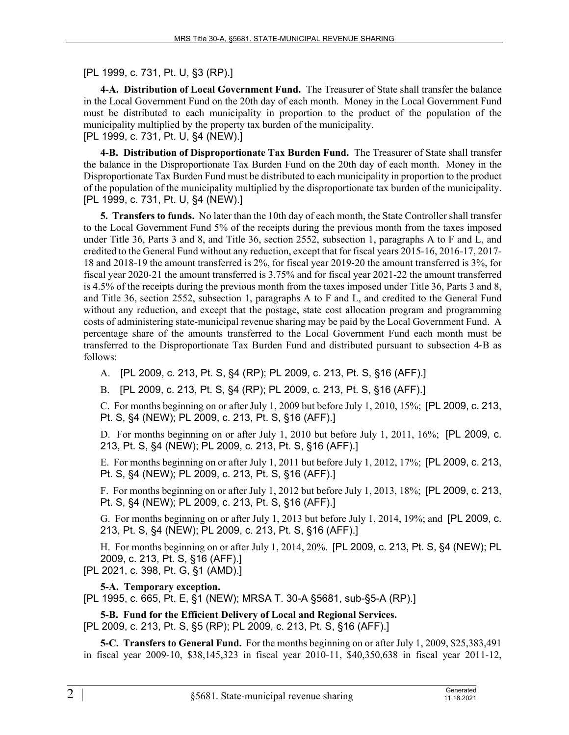[PL 1999, c. 731, Pt. U, §3 (RP).]

**4-A. Distribution of Local Government Fund.** The Treasurer of State shall transfer the balance in the Local Government Fund on the 20th day of each month. Money in the Local Government Fund must be distributed to each municipality in proportion to the product of the population of the municipality multiplied by the property tax burden of the municipality. [PL 1999, c. 731, Pt. U, §4 (NEW).]

**4-B. Distribution of Disproportionate Tax Burden Fund.** The Treasurer of State shall transfer the balance in the Disproportionate Tax Burden Fund on the 20th day of each month. Money in the Disproportionate Tax Burden Fund must be distributed to each municipality in proportion to the product of the population of the municipality multiplied by the disproportionate tax burden of the municipality. [PL 1999, c. 731, Pt. U, §4 (NEW).]

**5. Transfers to funds.** No later than the 10th day of each month, the State Controller shall transfer to the Local Government Fund 5% of the receipts during the previous month from the taxes imposed under Title 36, Parts 3 and 8, and Title 36, section 2552, subsection 1, paragraphs A to F and L, and credited to the General Fund without any reduction, except that for fiscal years 2015-16, 2016-17, 2017- 18 and 2018-19 the amount transferred is 2%, for fiscal year 2019‑20 the amount transferred is 3%, for fiscal year 2020‑21 the amount transferred is 3.75% and for fiscal year 2021-22 the amount transferred is 4.5% of the receipts during the previous month from the taxes imposed under Title 36, Parts 3 and 8, and Title 36, section 2552, subsection 1, paragraphs A to F and L, and credited to the General Fund without any reduction, and except that the postage, state cost allocation program and programming costs of administering state-municipal revenue sharing may be paid by the Local Government Fund. A percentage share of the amounts transferred to the Local Government Fund each month must be transferred to the Disproportionate Tax Burden Fund and distributed pursuant to subsection 4‑B as follows:

- A. [PL 2009, c. 213, Pt. S, §4 (RP); PL 2009, c. 213, Pt. S, §16 (AFF).]
- B. [PL 2009, c. 213, Pt. S, §4 (RP); PL 2009, c. 213, Pt. S, §16 (AFF).]

C. For months beginning on or after July 1, 2009 but before July 1, 2010, 15%; [PL 2009, c. 213, Pt. S, §4 (NEW); PL 2009, c. 213, Pt. S, §16 (AFF).]

D. For months beginning on or after July 1, 2010 but before July 1, 2011, 16%; [PL 2009, c. 213, Pt. S, §4 (NEW); PL 2009, c. 213, Pt. S, §16 (AFF).]

E. For months beginning on or after July 1, 2011 but before July 1, 2012, 17%; [PL 2009, c. 213, Pt. S, §4 (NEW); PL 2009, c. 213, Pt. S, §16 (AFF).]

F. For months beginning on or after July 1, 2012 but before July 1, 2013, 18%; [PL 2009, c. 213, Pt. S, §4 (NEW); PL 2009, c. 213, Pt. S, §16 (AFF).]

G. For months beginning on or after July 1, 2013 but before July 1, 2014, 19%; and [PL 2009, c. 213, Pt. S, §4 (NEW); PL 2009, c. 213, Pt. S, §16 (AFF).]

H. For months beginning on or after July 1, 2014, 20%. [PL 2009, c. 213, Pt. S, §4 (NEW); PL 2009, c. 213, Pt. S, §16 (AFF).]

[PL 2021, c. 398, Pt. G, §1 (AMD).]

## **5-A. Temporary exception.**

[PL 1995, c. 665, Pt. E, §1 (NEW); MRSA T. 30-A §5681, sub-§5-A (RP).]

**5-B. Fund for the Efficient Delivery of Local and Regional Services.**  [PL 2009, c. 213, Pt. S, §5 (RP); PL 2009, c. 213, Pt. S, §16 (AFF).]

**5-C. Transfers to General Fund.** For the months beginning on or after July 1, 2009, \$25,383,491 in fiscal year 2009-10, \$38,145,323 in fiscal year 2010-11, \$40,350,638 in fiscal year 2011-12,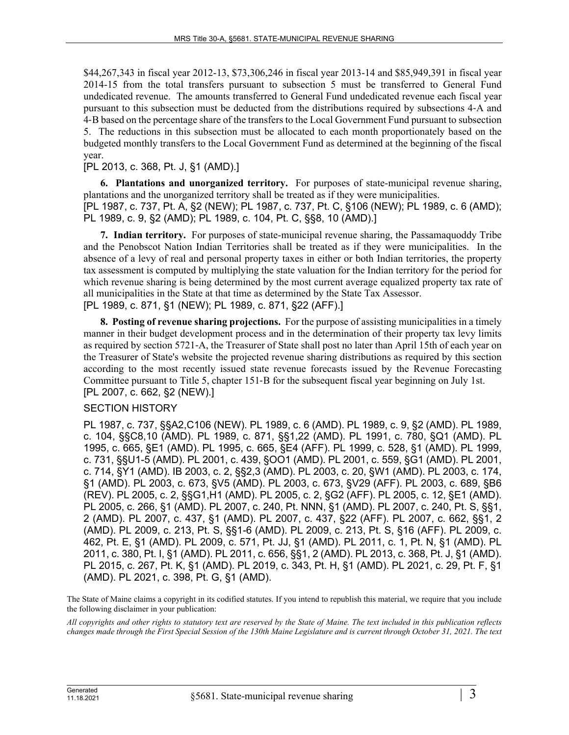\$44,267,343 in fiscal year 2012-13, \$73,306,246 in fiscal year 2013-14 and \$85,949,391 in fiscal year 2014-15 from the total transfers pursuant to subsection 5 must be transferred to General Fund undedicated revenue. The amounts transferred to General Fund undedicated revenue each fiscal year pursuant to this subsection must be deducted from the distributions required by subsections 4‑A and 4‑B based on the percentage share of the transfers to the Local Government Fund pursuant to subsection 5. The reductions in this subsection must be allocated to each month proportionately based on the budgeted monthly transfers to the Local Government Fund as determined at the beginning of the fiscal year.

[PL 2013, c. 368, Pt. J, §1 (AMD).]

**6. Plantations and unorganized territory.** For purposes of state-municipal revenue sharing, plantations and the unorganized territory shall be treated as if they were municipalities. [PL 1987, c. 737, Pt. A, §2 (NEW); PL 1987, c. 737, Pt. C, §106 (NEW); PL 1989, c. 6 (AMD);

PL 1989, c. 9, §2 (AMD); PL 1989, c. 104, Pt. C, §§8, 10 (AMD).]

**7. Indian territory.** For purposes of state-municipal revenue sharing, the Passamaquoddy Tribe and the Penobscot Nation Indian Territories shall be treated as if they were municipalities. In the absence of a levy of real and personal property taxes in either or both Indian territories, the property tax assessment is computed by multiplying the state valuation for the Indian territory for the period for which revenue sharing is being determined by the most current average equalized property tax rate of all municipalities in the State at that time as determined by the State Tax Assessor. [PL 1989, c. 871, §1 (NEW); PL 1989, c. 871, §22 (AFF).]

**8. Posting of revenue sharing projections.** For the purpose of assisting municipalities in a timely manner in their budget development process and in the determination of their property tax levy limits as required by section 5721‑A, the Treasurer of State shall post no later than April 15th of each year on the Treasurer of State's website the projected revenue sharing distributions as required by this section according to the most recently issued state revenue forecasts issued by the Revenue Forecasting Committee pursuant to Title 5, chapter 151‑B for the subsequent fiscal year beginning on July 1st.

## [PL 2007, c. 662, §2 (NEW).]

## SECTION HISTORY

PL 1987, c. 737, §§A2,C106 (NEW). PL 1989, c. 6 (AMD). PL 1989, c. 9, §2 (AMD). PL 1989, c. 104, §§C8,10 (AMD). PL 1989, c. 871, §§1,22 (AMD). PL 1991, c. 780, §Q1 (AMD). PL 1995, c. 665, §E1 (AMD). PL 1995, c. 665, §E4 (AFF). PL 1999, c. 528, §1 (AMD). PL 1999, c. 731, §§U1-5 (AMD). PL 2001, c. 439, §OO1 (AMD). PL 2001, c. 559, §G1 (AMD). PL 2001, c. 714, §Y1 (AMD). IB 2003, c. 2, §§2,3 (AMD). PL 2003, c. 20, §W1 (AMD). PL 2003, c. 174, §1 (AMD). PL 2003, c. 673, §V5 (AMD). PL 2003, c. 673, §V29 (AFF). PL 2003, c. 689, §B6 (REV). PL 2005, c. 2, §§G1,H1 (AMD). PL 2005, c. 2, §G2 (AFF). PL 2005, c. 12, §E1 (AMD). PL 2005, c. 266, §1 (AMD). PL 2007, c. 240, Pt. NNN, §1 (AMD). PL 2007, c. 240, Pt. S, §§1, 2 (AMD). PL 2007, c. 437, §1 (AMD). PL 2007, c. 437, §22 (AFF). PL 2007, c. 662, §§1, 2 (AMD). PL 2009, c. 213, Pt. S, §§1-6 (AMD). PL 2009, c. 213, Pt. S, §16 (AFF). PL 2009, c. 462, Pt. E, §1 (AMD). PL 2009, c. 571, Pt. JJ, §1 (AMD). PL 2011, c. 1, Pt. N, §1 (AMD). PL 2011, c. 380, Pt. I, §1 (AMD). PL 2011, c. 656, §§1, 2 (AMD). PL 2013, c. 368, Pt. J, §1 (AMD). PL 2015, c. 267, Pt. K, §1 (AMD). PL 2019, c. 343, Pt. H, §1 (AMD). PL 2021, c. 29, Pt. F, §1 (AMD). PL 2021, c. 398, Pt. G, §1 (AMD).

The State of Maine claims a copyright in its codified statutes. If you intend to republish this material, we require that you include the following disclaimer in your publication:

*All copyrights and other rights to statutory text are reserved by the State of Maine. The text included in this publication reflects changes made through the First Special Session of the 130th Maine Legislature and is current through October 31, 2021. The text*